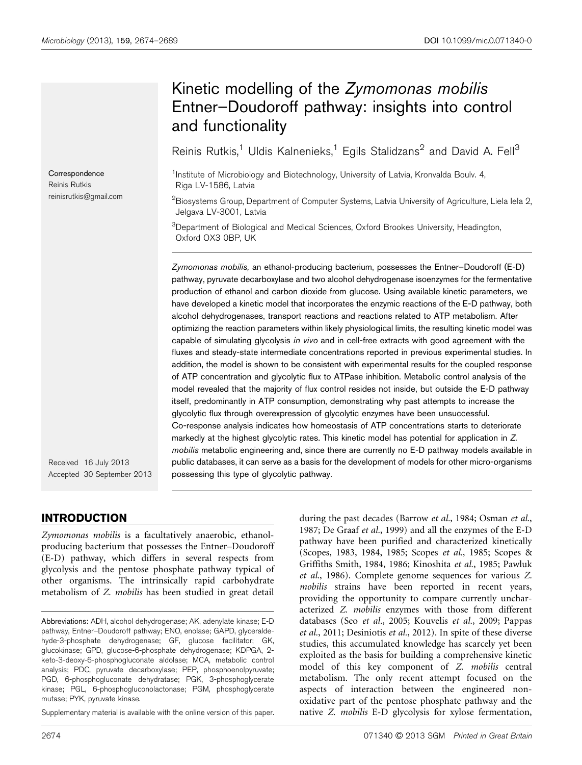**Correspondence** Reinis Rutkis reinisrutkis@gmail.com

# Kinetic modelling of the Zymomonas mobilis Entner–Doudoroff pathway: insights into control and functionality

Reinis Rutkis,<sup>1</sup> Uldis Kalnenieks,<sup>1</sup> Egils Stalidzans<sup>2</sup> and David A. Fell<sup>3</sup>

<sup>1</sup>Institute of Microbiology and Biotechnology, University of Latvia, Kronvalda Boulv. 4, Riga LV-1586, Latvia

 $^2$ Biosystems Group, Department of Computer Systems, Latvia University of Agriculture, Liela Iela 2, Jelgava LV-3001, Latvia

<sup>3</sup>Department of Biological and Medical Sciences, Oxford Brookes University, Headington, Oxford OX3 0BP, UK

Zymomonas mobilis, an ethanol-producing bacterium, possesses the Entner–Doudoroff (E-D) pathway, pyruvate decarboxylase and two alcohol dehydrogenase isoenzymes for the fermentative production of ethanol and carbon dioxide from glucose. Using available kinetic parameters, we have developed a kinetic model that incorporates the enzymic reactions of the E-D pathway, both alcohol dehydrogenases, transport reactions and reactions related to ATP metabolism. After optimizing the reaction parameters within likely physiological limits, the resulting kinetic model was capable of simulating glycolysis in vivo and in cell-free extracts with good agreement with the fluxes and steady-state intermediate concentrations reported in previous experimental studies. In addition, the model is shown to be consistent with experimental results for the coupled response of ATP concentration and glycolytic flux to ATPase inhibition. Metabolic control analysis of the model revealed that the majority of flux control resides not inside, but outside the E-D pathway itself, predominantly in ATP consumption, demonstrating why past attempts to increase the glycolytic flux through overexpression of glycolytic enzymes have been unsuccessful. Co-response analysis indicates how homeostasis of ATP concentrations starts to deteriorate markedly at the highest glycolytic rates. This kinetic model has potential for application in Z. mobilis metabolic engineering and, since there are currently no E-D pathway models available in public databases, it can serve as a basis for the development of models for other micro-organisms possessing this type of glycolytic pathway.

Received 16 July 2013 Accepted 30 September 2013

## INTRODUCTION

Zymomonas mobilis is a facultatively anaerobic, ethanolproducing bacterium that possesses the Entner–Doudoroff (E-D) pathway, which differs in several respects from glycolysis and the pentose phosphate pathway typical of other organisms. The intrinsically rapid carbohydrate metabolism of Z. mobilis has been studied in great detail

Supplementary material is available with the online version of this paper.

during the past decades ([Barrow](#page-14-0) et al., 1984; [Osman](#page-15-0) et al., [1987](#page-15-0); [De Graaf](#page-14-0) et al., 1999) and all the enzymes of the E-D pathway have been purified and characterized kinetically [\(Scopes, 1983](#page-15-0), [1984, 1985; Scopes](#page-15-0) et al., 1985; Scopes & Griffiths Smith, 1984, 1986; [Kinoshita](#page-14-0) et al., 1985; [Pawluk](#page-15-0) et al.[, 1986\)](#page-15-0). Complete genome sequences for various Z. mobilis strains have been reported in recent years, providing the opportunity to compare currently uncharacterized Z. mobilis enzymes with those from different databases (Seo et al.[, 2005](#page-15-0); [Kouvelis](#page-14-0) et al., 2009; [Pappas](#page-15-0) et al.[, 2011;](#page-15-0) [Desiniotis](#page-14-0) et al., 2012). In spite of these diverse studies, this accumulated knowledge has scarcely yet been exploited as the basis for building a comprehensive kinetic model of this key component of Z. mobilis central metabolism. The only recent attempt focused on the aspects of interaction between the engineered nonoxidative part of the pentose phosphate pathway and the native Z. mobilis E-D glycolysis for xylose fermentation,

Abbreviations: ADH, alcohol dehydrogenase; AK, adenylate kinase; E-D pathway, Entner–Doudoroff pathway; ENO, enolase; GAPD, glyceraldehyde-3-phosphate dehydrogenase; GF, glucose facilitator; GK, glucokinase; GPD, glucose-6-phosphate dehydrogenase; KDPGA, 2 keto-3-deoxy-6-phosphogluconate aldolase; MCA, metabolic control analysis; PDC, pyruvate decarboxylase; PEP, phosphoenolpyruvate; PGD, 6-phosphogluconate dehydratase; PGK, 3-phosphoglycerate kinase; PGL, 6-phosphogluconolactonase; PGM, phosphoglycerate mutase; PYK, pyruvate kinase.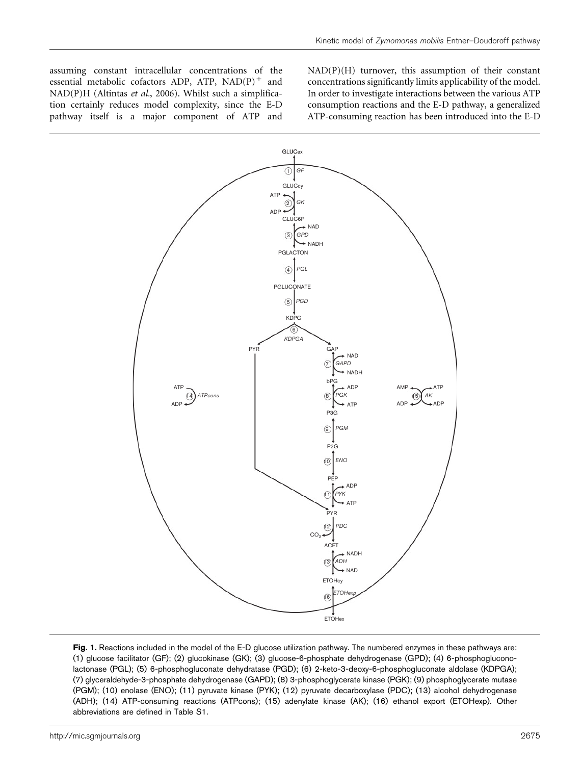<span id="page-1-0"></span>assuming constant intracellular concentrations of the essential metabolic cofactors ADP, ATP,  $NAD(P)^+$  and NAD(P)H [\(Altintas](#page-14-0) et al., 2006). Whilst such a simplification certainly reduces model complexity, since the E-D pathway itself is a major component of ATP and NAD(P)(H) turnover, this assumption of their constant concentrations significantly limits applicability of the model. In order to investigate interactions between the various ATP consumption reactions and the E-D pathway, a generalized ATP-consuming reaction has been introduced into the E-D



Fig. 1. Reactions included in the model of the E-D glucose utilization pathway. The numbered enzymes in these pathways are: (1) glucose facilitator (GF); (2) glucokinase (GK); (3) glucose-6-phosphate dehydrogenase (GPD); (4) 6-phosphogluconolactonase (PGL); (5) 6-phosphogluconate dehydratase (PGD); (6) 2-keto-3-deoxy-6-phosphogluconate aldolase (KDPGA); (7) glyceraldehyde-3-phosphate dehydrogenase (GAPD); (8) 3-phosphoglycerate kinase (PGK); (9) phosphoglycerate mutase (PGM); (10) enolase (ENO); (11) pyruvate kinase (PYK); (12) pyruvate decarboxylase (PDC); (13) alcohol dehydrogenase (ADH); (14) ATP-consuming reactions (ATPcons); (15) adenylate kinase (AK); (16) ethanol export (ETOHexp). Other abbreviations are defined in Table S1.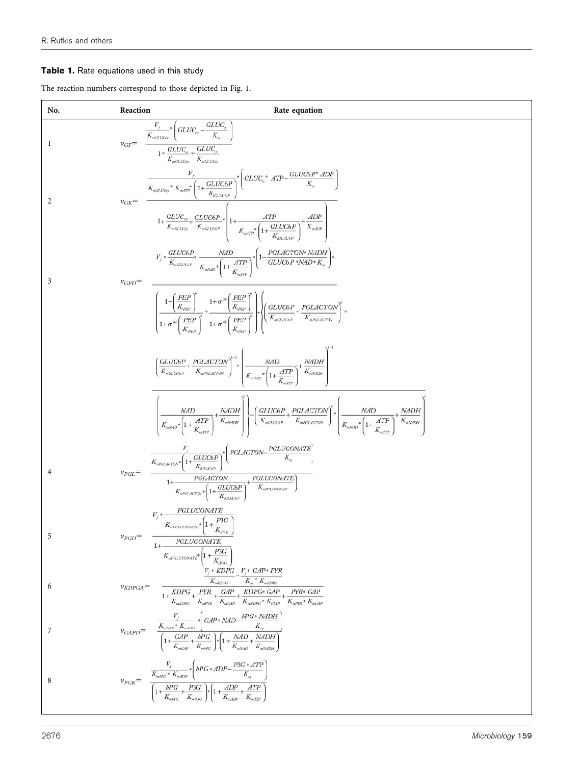## <span id="page-2-0"></span>Table 1. Rate equations used in this study

The reaction numbers correspond to those depicted in [Fig. 1](#page-1-0).

| No.            | Reaction          | Rate equation                                                                                                                                                                                                                                                                                                                                                                 |
|----------------|-------------------|-------------------------------------------------------------------------------------------------------------------------------------------------------------------------------------------------------------------------------------------------------------------------------------------------------------------------------------------------------------------------------|
| -1             |                   | $v_{GF} = \begin{array}{c} \frac{V_f}{K_{mGLUC_{ex}}}\left(GLUC_{ex} - \frac{GLUC_{cy}}{K_{sq}}\right) \\ 1 + \frac{GLUC_{ex}}{K_{mGLUC_{ex}}}\left(\frac{GLUC_{g}}{K_{mGLUC_{rg}}} \right) \end{array}$                                                                                                                                                                      |
| 2              | $v_{GK}$ =        | $\frac{V_f}{K_{mGLUCg}} * K_{mATP} * \left(1 + \frac{GLUC6P}{K_{cor}}\right)^{n} \left(GLUC_g * ATP - \frac{GLUC6P * ADP}{K_q}\right)$<br>$1+\frac{GLUC_{\eta}}{K_{sGLUC\eta}}+\frac{GLUC6P}{K_{sGLUC6P}}*\left[1+\frac{ATP}{K_{mATP}}*\left(1+\frac{GLUC6P}{K_{mATP}}\right)^{+}\frac{ADP}{K_{mdDP}}\right]$                                                                 |
| 3              | $v_{GPD}$ =       | $V_{j} * \frac{GLUC6P}{K_{mGLUC6P}} * \frac{NAD}{K_{mNAD} * \left(1 + \frac{ATP}{K}\right)} * \left(1 - \frac{PGLACTON^*NADH}{GLUC6P * NAD^*K_{\eta}}\right) *$                                                                                                                                                                                                               |
|                |                   | $\left(\frac{1+\left(\frac{PEP}{K_{BEP}}\right)}{1+\sigma^{4b}\left(\frac{PEP}{K}\right)}\right)^{4} + \frac{1+\sigma^{2b}\left(\frac{PEP}{K_{BEP}}\right)}{1+\sigma^{4b}\left(\frac{PEP}{K}\right)^{b}}\right)$                                                                                                                                                              |
|                |                   | $\left(\frac{GLUC6P}{K_{mGLUC6P}}+\frac{PGLACTON}{K_{nKGLACTON}}\right)^{k-1}*\left(\frac{NAD}{K_{mNAD}*\left(1+\frac{ATP}{\nu}\right)}+\frac{NADH}{K_{mNABH}}\right)$                                                                                                                                                                                                        |
|                |                   | $\left  \frac{NAD}{K_{mNAD}*}\left 1+\frac{ATP}{K}\right ^{2}} + \frac{NADH}{K_{mNAD*}}\right  \left +\left(\frac{GLUC6P}{K_{mGLUC6P}}+\frac{PGLACTON}{K_{mPGLACTON}}\right)^{4}*\left \frac{NAD}{K_{mNAD}*}\left(1+\frac{ATP}{K}\right)^{2}} + \frac{NADH}{K_{mNAD*}}\right ^{2}$                                                                                            |
| $\overline{4}$ | $\nu_{PGL} =$     | $\begin{aligned} \begin{array}{c} V_f \\ \hline \\ K_{\pi FGLACTON^*} \end{array} & \left( 1 + \frac{GLUC\&P}{K_{GCLUC\&P}} \right)^* \left( \begin{array}{c} PGLACTON- \frac{PGLUCONATE}{K_\gamma} \\ \hline \\ 1 + \frac{PGLACTON}{K_{\pi FGLACTON^*} \left( 1 + \frac{GLUC\&P}{K_{\pi FGLUCONATE}} \right)} \end{array} \right) \end{aligned}$                             |
| 5              | $v_{PGD}$ =       | $V_f*\frac{PGLUCONATE}{K_{\rm aPGLUCONATE}}\Bigg[1+\frac{P3G}{K_{\rm aPSG}}\Bigg]$<br>PGLUCONATE                                                                                                                                                                                                                                                                              |
| 6              | $\nu_{KDPGA}$ $=$ | $\begin{aligned} +\frac{1}{K_{\text{wPGLUCONATE}}} &\left(1+\frac{PG}{K_{\text{P3G}}}\right)\\ &\frac{V_f*KDPG}{K_{\text{wKDFC}}} -\frac{V_f*GAP*PYR}{K_{\text{wKDFC}}}\\ \frac{K_{\text{wKDFC}}}{1+\frac{KDPG}{K_{\text{wKDFC}}}+\frac{PNR}{K_{\text{wGAP}}}+\frac{KDPG*GAP}{K_{\text{wKDFC}}*K_{\text{GAP}}}+\frac{PYR*GAP}{K_{\text{wFPR}}*K_{\text{wGAP}}} \end{aligned}$ |
| 7              |                   | $v_{GAPD} = \begin{array}{c} \frac{V_f}{K_{mGAP}*K_{mNdD}} * \left( \begin{array}{c} \text{G}AP * NAD - \frac{bPG * NADH}{K_q} \\ \text{G} \end{array} \right) \\ \hline \left( 1 + \frac{GAP}{K_{mGAP}} + \frac{bPG}{K_{mNdQ}} \right) * \left( 1 + \frac{NAD}{K_{mNdD}} + \frac{NADH}{K_{mNdDH}} \right) \end{array}$                                                       |
| 8              |                   | $v_{PGK} = \begin{array}{cc} & V_f & \\ \hline & K_{m\delta PG}*K_{m\delta D P} \end{array} \begin{array}{c} \ast \left(bPG*ADP-\frac{P3G*ATP}{K_q}\right) \\ \hline & K_{\gamma} & \\ \hline \left(1+\frac{bPG}{K_{m\delta PG}}+\frac{P3G}{K_{m\delta T G}}\right)\ast\left(1+\frac{ADP}{K_{m\delta D P}}+\frac{ATP}{K_{m\delta T P}}\right) \end{array}$                    |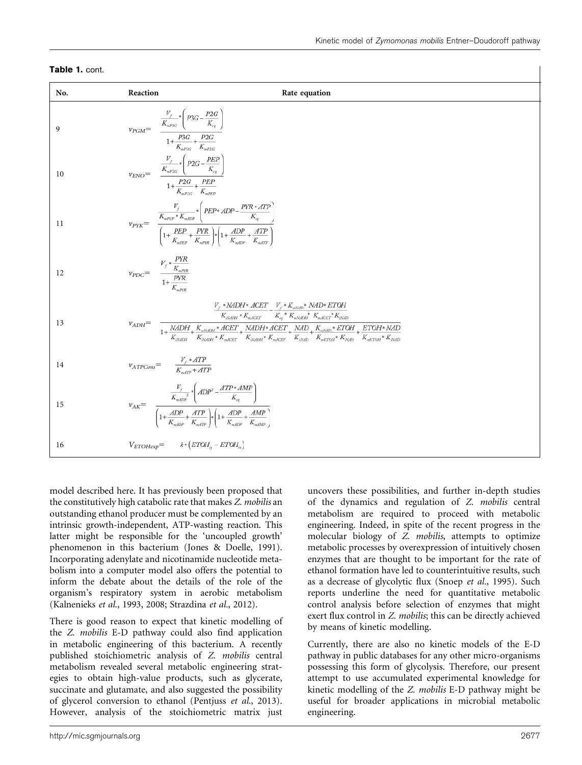| No. | Reaction                                                                                                                                                                                                                        | Rate equation                                                                                                                                                                                                                           |
|-----|---------------------------------------------------------------------------------------------------------------------------------------------------------------------------------------------------------------------------------|-----------------------------------------------------------------------------------------------------------------------------------------------------------------------------------------------------------------------------------------|
| 9   |                                                                                                                                                                                                                                 |                                                                                                                                                                                                                                         |
| 10  | $v_{ENO}{=}\quad \begin{array}{cc} \frac{V_f}{K_{\kappa P2G}}{*}\left(P2G{-}\frac{PEP}{K_{\kappa q}}\right)\\ 1{+}\frac{P2G}{\nu}+ \frac{PEP}{\nu} \end{array}$                                                                 |                                                                                                                                                                                                                                         |
| 11  | $v_{PYK} = \frac{\frac{V_f}{K_{mPEP} * K_{mdDP}} \left(PEP * ADP - \frac{PYR * ATP}{K_q}\right)}{\left(1 + \frac{PEP}{K_{mPE} + K_{mP}}\right) * \left(1 + \frac{ADP}{K_{mPE} + \frac{ATP}{K_{mP}}}\right)}$                    |                                                                                                                                                                                                                                         |
| 12  | $v_{PDC} = \frac{V_f * \frac{PYK}{K_{mPNR}}}{1 + \frac{PYR}{K}}$                                                                                                                                                                |                                                                                                                                                                                                                                         |
| 13  |                                                                                                                                                                                                                                 | $V_f$ * NADH * ACET $V_f$ * $K_{mNAD}$ * NAD* ETOH<br>$K_{\textit{\tiny{NMDH}}} * K_{\textit{\tiny{mACET}}} \qquad \overline{K_{\textit{\tiny{eq}}} * K_{\textit{\tiny{mNDH}}} * K_{\textit{\tiny{mACET}}} * K_{\textit{\tiny{NMD}}} }$ |
| 14  | $v_{ATPCons} = \frac{V_f * ATP}{K_{mATP} + ATP}$                                                                                                                                                                                |                                                                                                                                                                                                                                         |
| 15  | $v_{AK} = \begin{array}{c} \frac{V_f}{K_{mdDP}} \cdot \left( ADP^2 - \frac{ATP * AMP}{K_q} \right) \\ \frac{1}{K_{mDP}} + \frac{ATP}{K_{mDP}} \cdot \left( 1 + \frac{ADP}{K_{mdpP}} + \frac{AMP}{K_{mdhP}} \right) \end{array}$ |                                                                                                                                                                                                                                         |
| 16  | $V_{ETOHexp}\mathit{=}\newline \hspace*{1.5em} k*\left(\mathit{ETOH}_{\scriptscriptstyle{\mathrm{G}}}-\mathit{ETOH}_{\scriptscriptstyle{\mathrm{ex}}}\right)$                                                                   |                                                                                                                                                                                                                                         |

### Table 1. cont.

model described here. It has previously been proposed that the constitutively high catabolic rate that makes Z. mobilis an outstanding ethanol producer must be complemented by an intrinsic growth-independent, ATP-wasting reaction. This latter might be responsible for the 'uncoupled growth' phenomenon in this bacterium ([Jones & Doelle, 1991\)](#page-14-0). Incorporating adenylate and nicotinamide nucleotide metabolism into a computer model also offers the potential to inform the debate about the details of the role of the organism's respiratory system in aerobic metabolism [\(Kalnenieks](#page-14-0) et al., 1993, [2008](#page-14-0); [Strazdina](#page-15-0) et al., 2012).

There is good reason to expect that kinetic modelling of the Z. mobilis E-D pathway could also find application in metabolic engineering of this bacterium. A recently published stoichiometric analysis of Z. mobilis central metabolism revealed several metabolic engineering strategies to obtain high-value products, such as glycerate, succinate and glutamate, and also suggested the possibility of glycerol conversion to ethanol [\(Pentjuss](#page-15-0) et al., 2013). However, analysis of the stoichiometric matrix just

uncovers these possibilities, and further in-depth studies of the dynamics and regulation of Z. mobilis central metabolism are required to proceed with metabolic engineering. Indeed, in spite of the recent progress in the molecular biology of Z. mobilis, attempts to optimize metabolic processes by overexpression of intuitively chosen enzymes that are thought to be important for the rate of ethanol formation have led to counterintuitive results, such as a decrease of glycolytic flux (Snoep et al.[, 1995](#page-15-0)). Such reports underline the need for quantitative metabolic control analysis before selection of enzymes that might exert flux control in Z. mobilis; this can be directly achieved by means of kinetic modelling.

Currently, there are also no kinetic models of the E-D pathway in public databases for any other micro-organisms possessing this form of glycolysis. Therefore, our present attempt to use accumulated experimental knowledge for kinetic modelling of the Z. mobilis E-D pathway might be useful for broader applications in microbial metabolic engineering.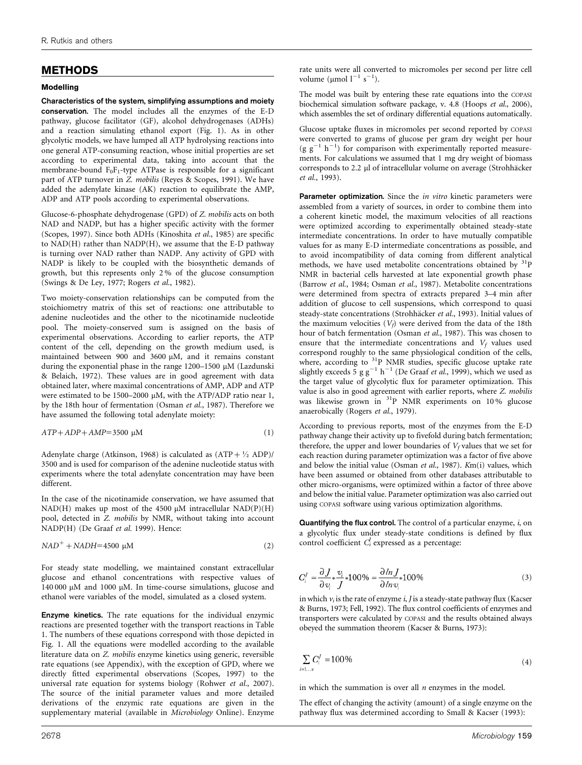## METHODS

#### Modelling

Characteristics of the system, simplifying assumptions and moiety conservation. The model includes all the enzymes of the E-D pathway, glucose facilitator (GF), alcohol dehydrogenases (ADHs) and a reaction simulating ethanol export [\(Fig. 1](#page-1-0)). As in other glycolytic models, we have lumped all ATP hydrolysing reactions into one general ATP-consuming reaction, whose initial properties are set according to experimental data, taking into account that the membrane-bound  $F_0F_1$ -type ATPase is responsible for a significant part of ATP turnover in Z. mobilis [\(Reyes & Scopes, 1991\)](#page-15-0). We have added the adenylate kinase (AK) reaction to equilibrate the AMP, ADP and ATP pools according to experimental observations.

Glucose-6-phosphate dehydrogenase (GPD) of Z. mobilis acts on both NAD and NADP, but has a higher specific activity with the former ([Scopes, 1997](#page-15-0)). Since both ADHs [\(Kinoshita](#page-14-0) et al., 1985) are specific to NAD(H) rather than NADP(H), we assume that the E-D pathway is turning over NAD rather than NADP. Any activity of GPD with NADP is likely to be coupled with the biosynthetic demands of growth, but this represents only 2 % of the glucose consumption ([Swings & De Ley, 1977](#page-15-0); [Rogers](#page-15-0) et al., 1982).

Two moiety-conservation relationships can be computed from the stoichiometry matrix of this set of reactions: one attributable to adenine nucleotides and the other to the nicotinamide nucleotide pool. The moiety-conserved sum is assigned on the basis of experimental observations. According to earlier reports, the ATP content of the cell, depending on the growth medium used, is maintained between 900 and 3600  $\mu$ M, and it remains constant during the exponential phase in the range 1200–1500 µM ([Lazdunski](#page-14-0) [& Belaich, 1972\)](#page-14-0). These values are in good agreement with data obtained later, where maximal concentrations of AMP, ADP and ATP were estimated to be 1500–2000  $\mu$ M, with the ATP/ADP ratio near 1, by the 18th hour of fermentation ([Osman](#page-15-0) et al., 1987). Therefore we have assumed the following total adenylate moiety:

$$
ATP + ADP + AMP = 3500 \mu M \tag{1}
$$

Adenylate charge [\(Atkinson, 1968](#page-14-0)) is calculated as  $(ATP + \frac{1}{2} ADP)/$ 3500 and is used for comparison of the adenine nucleotide status with experiments where the total adenylate concentration may have been different.

In the case of the nicotinamide conservation, we have assumed that NAD(H) makes up most of the 4500  $\mu$ M intracellular NAD(P)(H) pool, detected in Z. mobilis by NMR, without taking into account NADP(H) ([De Graaf](#page-14-0) et al. 1999). Hence:

$$
NAD^{+} + NADH = 4500 \mu M
$$
 (2)

For steady state modelling, we maintained constant extracellular glucose and ethanol concentrations with respective values of 140 000  $\mu$ M and 1000  $\mu$ M. In time-course simulations, glucose and ethanol were variables of the model, simulated as a closed system.

Enzyme kinetics. The rate equations for the individual enzymic reactions are presented together with the transport reactions in [Table](#page-2-0) [1](#page-2-0). The numbers of these equations correspond with those depicted in [Fig. 1.](#page-1-0) All the equations were modelled according to the available literature data on Z. mobilis enzyme kinetics using generic, reversible rate equations (see Appendix), with the exception of GPD, where we directly fitted experimental observations [\(Scopes, 1997\)](#page-15-0) to the universal rate equation for systems biology [\(Rohwer](#page-15-0) et al., 2007). The source of the initial parameter values and more detailed derivations of the enzymic rate equations are given in the supplementary material (available in Microbiology Online). Enzyme

rate units were all converted to micromoles per second per litre cell volume ( $\mu$ mol  $l^{-1}$  s<sup>-1</sup>).

The model was built by entering these rate equations into the COPASI biochemical simulation software package, v. 4.8 [\(Hoops](#page-14-0) et al., 2006), which assembles the set of ordinary differential equations automatically.

Glucose uptake fluxes in micromoles per second reported by COPASI were converted to grams of glucose per gram dry weight per hour  $(g g^{-1} h^{-1})$  for comparison with experimentally reported measurements. For calculations we assumed that 1 mg dry weight of biomass corresponds to 2.2 µl of intracellular volume on average (Strohhäcker et al.[, 1993](#page-15-0)).

Parameter optimization. Since the *in vitro* kinetic parameters were assembled from a variety of sources, in order to combine them into a coherent kinetic model, the maximum velocities of all reactions were optimized according to experimentally obtained steady-state intermediate concentrations. In order to have mutually compatible values for as many E-D intermediate concentrations as possible, and to avoid incompatibility of data coming from different analytical methods, we have used metabolite concentrations obtained by 31P NMR in bacterial cells harvested at late exponential growth phase ([Barrow](#page-14-0) et al., 1984; [Osman](#page-15-0) et al., 1987). Metabolite concentrations were determined from spectra of extracts prepared 3–4 min after addition of glucose to cell suspensions, which correspond to quasi steady-state concentrations (Strohhäcker et al., 1993). Initial values of the maximum velocities  $(V_f)$  were derived from the data of the 18th hour of batch fermentation [\(Osman](#page-15-0) et al., 1987). This was chosen to ensure that the intermediate concentrations and  $V_f$  values used correspond roughly to the same physiological condition of the cells, where, according to <sup>31</sup>P NMR studies, specific glucose uptake rate slightly exceeds 5 g g<sup>-1</sup> h<sup>-1</sup> ([De Graaf](#page-14-0) et al., 1999), which we used as the target value of glycolytic flux for parameter optimization. This value is also in good agreement with earlier reports, where Z. mobilis was likewise grown in <sup>31</sup>P NMR experiments on 10% glucose anaerobically [\(Rogers](#page-15-0) et al., 1979).

According to previous reports, most of the enzymes from the E-D pathway change their activity up to fivefold during batch fermentation; therefore, the upper and lower boundaries of  $V_f$  values that we set for each reaction during parameter optimization was a factor of five above and below the initial value [\(Osman](#page-15-0) et al., 1987). Km(i) values, which have been assumed or obtained from other databases attributable to other micro-organisms, were optimized within a factor of three above and below the initial value. Parameter optimization was also carried out using COPASI software using various optimization algorithms.

**Quantifying the flux control.** The control of a particular enzyme,  $i$ , on a glycolytic flux under steady-state conditions is defined by flux control coefficient  $C_i^J$  expressed as a percentage:

$$
C_i^J = \frac{\partial J}{\partial v_i} * \frac{v_i}{J} * 100\% = \frac{\partial \ln J}{\partial \ln v_i} * 100\% \tag{3}
$$

in which  $v_i$  is the rate of enzyme  $i$ ,  $J$  is a steady-state pathway flux [\(Kacser](#page-14-0) [& Burns, 1973](#page-14-0); [Fell, 1992\)](#page-14-0). The flux control coefficients of enzymes and transporters were calculated by COPASI and the results obtained always obeyed the summation theorem [\(Kacser & Burns, 1973](#page-14-0)):

$$
\sum_{i=1...n} C_i^J = 100\,\%
$$
\n(4)

in which the summation is over all  $n$  enzymes in the model.

The effect of changing the activity (amount) of a single enzyme on the pathway flux was determined according to [Small & Kacser \(1993\):](#page-15-0)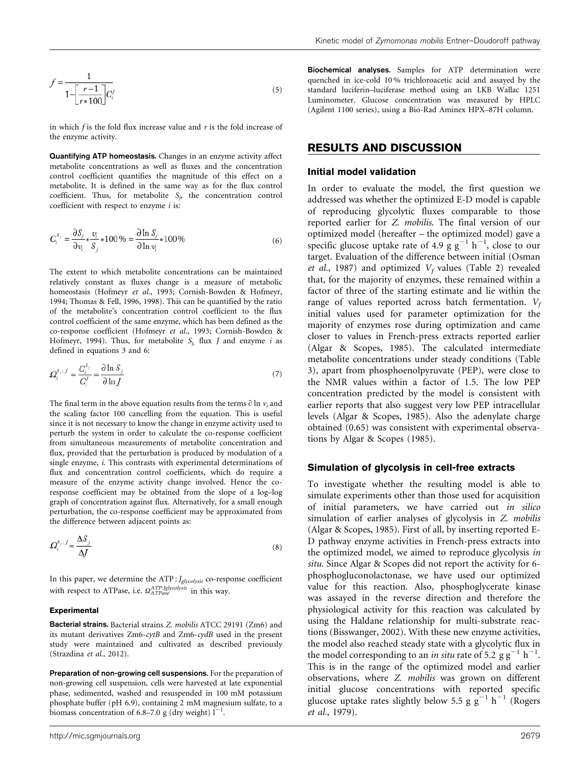$$
f = \frac{1}{1 - \left[\frac{r-1}{r*100}\right]} C_i^j \tag{5}
$$

in which  $f$  is the fold flux increase value and  $r$  is the fold increase of the enzyme activity.

Quantifying ATP homeostasis. Changes in an enzyme activity affect metabolite concentrations as well as fluxes and the concentration control coefficient quantifies the magnitude of this effect on a metabolite. It is defined in the same way as for the flux control coefficient. Thus, for metabolite  $S_p$  the concentration control coefficient with respect to enzyme  $i$  is:

$$
C_i^{S_j} = \frac{\partial S_j}{\partial v_i} * \frac{v_i}{S_j} * 100\% = \frac{\partial \ln S_j}{\partial \ln v_i} * 100\%
$$
 (6)

The extent to which metabolite concentrations can be maintained relatively constant as fluxes change is a measure of metabolic homeostasis ([Hofmeyr](#page-14-0) et al., 1993; [Cornish-Bowden & Hofmeyr,](#page-14-0) [1994](#page-14-0); [Thomas & Fell, 1996](#page-15-0), [1998\)](#page-15-0). This can be quantified by the ratio of the metabolite's concentration control coefficient to the flux control coefficient of the same enzyme, which has been defined as the co-response coefficient [\(Hofmeyr](#page-14-0) et al., 1993; [Cornish-Bowden &](#page-14-0) [Hofmeyr, 1994](#page-14-0)). Thus, for metabolite  $S_i$  flux *J* and enzyme *i* as defined in equations 3 and 6:

$$
\Omega_i^{S_j:J} = \frac{C_i^{S_j}}{C_i^J} = \frac{\partial \ln S_j}{\partial \ln J} \tag{7}
$$

The final term in the above equation results from the terms  $\partial \ln v_i$  and the scaling factor 100 cancelling from the equation. This is useful since it is not necessary to know the change in enzyme activity used to perturb the system in order to calculate the co-response coefficient from simultaneous measurements of metabolite concentration and flux, provided that the perturbation is produced by modulation of a single enzyme, i. This contrasts with experimental determinations of flux and concentration control coefficients, which do require a measure of the enzyme activity change involved. Hence the coresponse coefficient may be obtained from the slope of a log–log graph of concentration against flux. Alternatively, for a small enough perturbation, the co-response coefficient may be approximated from the difference between adjacent points as:

$$
\Omega_i^{s_j:J} \approx \frac{\Delta S_j}{\Delta J} \tag{8}
$$

In this paper, we determine the  $ATP$  :  $J_{glycolysis}$  co-response coefficient with respect to ATPase, i.e.  $\Omega^{ATP:Jglycolysis}_{ATPase}$  in this way.

#### Experimental

Bacterial strains. Bacterial strains Z. mobilis ATCC 29191 (Zm6) and its mutant derivatives Zm6-cytB and Zm6-cydB used in the present study were maintained and cultivated as described previously ([Strazdina](#page-15-0) et al., 2012).

Preparation of non-growing cell suspensions. For the preparation of non-growing cell suspension, cells were harvested at late exponential phase, sedimented, washed and resuspended in 100 mM potassium phosphate buffer (pH 6.9), containing 2 mM magnesium sulfate, to a biomass concentration of 6.8–7.0 g (dry weight)  $l^{-1}$ .

Biochemical analyses. Samples for ATP determination were quenched in ice-cold 10 % trichloroacetic acid and assayed by the standard luciferin–luciferase method using an LKB Wallac 1251 Luminometer. Glucose concentration was measured by HPLC (Agilent 1100 series), using a Bio-Rad Aminex HPX–87H column.

#### RESULTS AND DISCUSSION

#### Initial model validation

In order to evaluate the model, the first question we addressed was whether the optimized E-D model is capable of reproducing glycolytic fluxes comparable to those reported earlier for Z. mobilis. The final version of our optimized model (hereafter – the optimized model) gave a specific glucose uptake rate of 4.9  $g g^{-1} h^{-1}$ , close to our target. Evaluation of the difference between initial ([Osman](#page-15-0) et al.[, 1987\)](#page-15-0) and optimized  $V_f$  values [\(Table 2\)](#page-6-0) revealed that, for the majority of enzymes, these remained within a factor of three of the starting estimate and lie within the range of values reported across batch fermentation.  $V_f$ initial values used for parameter optimization for the majority of enzymes rose during optimization and came closer to values in French-press extracts reported earlier ([Algar & Scopes, 1985\)](#page-14-0). The calculated intermediate metabolite concentrations under steady conditions ([Table](#page-10-0) [3\)](#page-10-0), apart from phosphoenolpyruvate (PEP), were close to the NMR values within a factor of 1.5. The low PEP concentration predicted by the model is consistent with earlier reports that also suggest very low PEP intracellular levels [\(Algar & Scopes, 1985\)](#page-14-0). Also the adenylate charge obtained (0.65) was consistent with experimental observations by [Algar & Scopes \(1985\)](#page-14-0).

#### Simulation of glycolysis in cell-free extracts

To investigate whether the resulting model is able to simulate experiments other than those used for acquisition of initial parameters, we have carried out in silico simulation of earlier analyses of glycolysis in Z. mobilis ([Algar & Scopes, 1985](#page-14-0)). First of all, by inserting reported E-D pathway enzyme activities in French-press extracts into the optimized model, we aimed to reproduce glycolysis in situ. Since Algar & Scopes did not report the activity for 6 phosphogluconolactonase, we have used our optimized value for this reaction. Also, phosphoglycerate kinase was assayed in the reverse direction and therefore the physiological activity for this reaction was calculated by using the Haldane relationship for multi-substrate reactions ([Bisswanger, 2002](#page-14-0)). With these new enzyme activities, the model also reached steady state with a glycolytic flux in the model corresponding to an *in situ* rate of 5.2  $g g^{-1} h^{-1}$ . This is in the range of the optimized model and earlier observations, where Z. mobilis was grown on different initial glucose concentrations with reported specific glucose uptake rates slightly below 5.5 g  $g^{-1}$  h<sup>-1</sup> ([Rogers](#page-15-0) et al.[, 1979](#page-15-0)).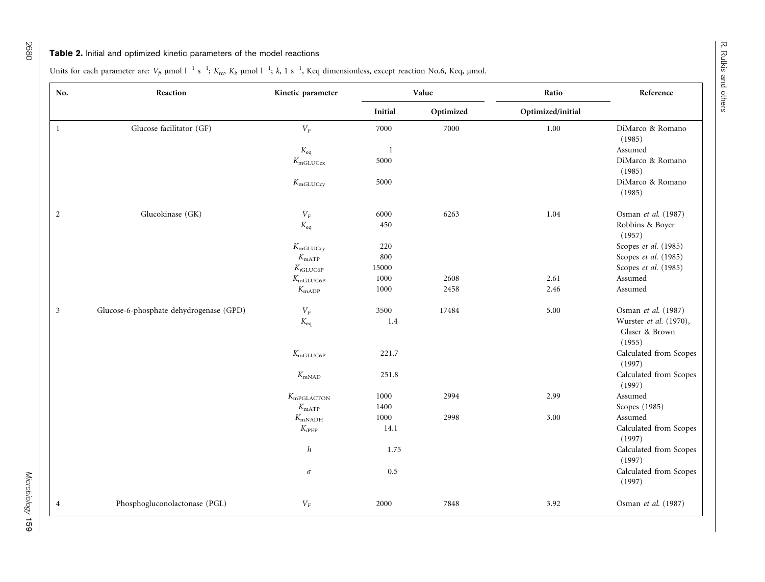### <span id="page-6-0"></span>**Table 2.** Initial and optimized kinetic parameters of the model reactions

Units for each parameter are:  $V_f$ ,  $\mu$ mol l<sup>-1</sup> s<sup>-1</sup>;  $K_m$ ,  $K_b$ ,  $\mu$ mol l<sup>-1</sup>;  $k$ , 1 s<sup>-1</sup>, Keq dimensionless, except reaction No.6, Keq,  $\mu$ mol.

| No.                     | Reaction                                | Kinetic parameter    |              | Value     | Ratio             | Reference                                          |
|-------------------------|-----------------------------------------|----------------------|--------------|-----------|-------------------|----------------------------------------------------|
|                         |                                         |                      | Initial      | Optimized | Optimized/initial |                                                    |
| $\mathbf{1}$            | Glucose facilitator (GF)                | $V_F$                | 7000         | 7000      | 1.00              | DiMarco & Romano<br>(1985)                         |
|                         |                                         | $K_{\text{eq}}$      | $\mathbf{1}$ |           |                   | Assumed                                            |
|                         |                                         | $K_{\rm mGLUCex}$    | 5000         |           |                   | DiMarco & Romano<br>(1985)                         |
|                         |                                         | $K_{\text{mGLUCcy}}$ | 5000         |           |                   | DiMarco & Romano<br>(1985)                         |
| 2                       | Glucokinase (GK)                        | ${\cal V}_F$         | 6000         | 6263      | 1.04              | Osman et al. (1987)                                |
|                         |                                         | $K_{eq}$             | 450          |           |                   | Robbins & Boyer<br>(1957)                          |
|                         |                                         | $K_{\text{mGLUCcy}}$ | $220\,$      |           |                   | Scopes et al. (1985)                               |
|                         |                                         | $K_{\text{mATP}}$    | 800          |           |                   | Scopes et al. (1985)                               |
|                         |                                         | $K_{i\text{GLUC6P}}$ | 15000        |           |                   | Scopes et al. (1985)                               |
|                         |                                         | $K_{\text{mGLUC6P}}$ | 1000         | 2608      | 2.61              | Assumed                                            |
|                         |                                         | $K_{\text{mADP}}$    | 1000         | 2458      | 2.46              | Assumed                                            |
| $\overline{\mathbf{3}}$ | Glucose-6-phosphate dehydrogenase (GPD) | ${\cal V}_F$         | 3500         | 17484     | 5.00              | Osman et al. (1987)                                |
|                         |                                         | $K_{eq}$             | 1.4          |           |                   | Wurster et al. (1970),<br>Glaser & Brown<br>(1955) |
|                         |                                         | $K_{\text{mGLUC6P}}$ | 221.7        |           |                   | Calculated from Scopes<br>(1997)                   |
|                         |                                         | $K_{\text{mNAD}}$    | 251.8        |           |                   | Calculated from Scopes<br>(1997)                   |
|                         |                                         | $K_{\rm mPGLACTON}$  | 1000         | 2994      | 2.99              | Assumed                                            |
|                         |                                         | $K_{\text{mATP}}$    | 1400         |           |                   | Scopes (1985)                                      |
|                         |                                         | $K_{\text{mNADH}}$   | $1000\,$     | 2998      | 3.00              | Assumed                                            |
|                         |                                         | $K_{i\text{PEP}}$    | 14.1         |           |                   | Calculated from Scopes<br>(1997)                   |
|                         |                                         | $\boldsymbol{h}$     | 1.75         |           |                   | Calculated from Scopes<br>(1997)                   |
|                         |                                         | $\sigma$             | 0.5          |           |                   | Calculated from Scopes<br>(1997)                   |
| $\overline{4}$          | Phosphogluconolactonase (PGL)           | ${\cal V}_F$         | 2000         | 7848      | 3.92              | Osman et al. (1987)                                |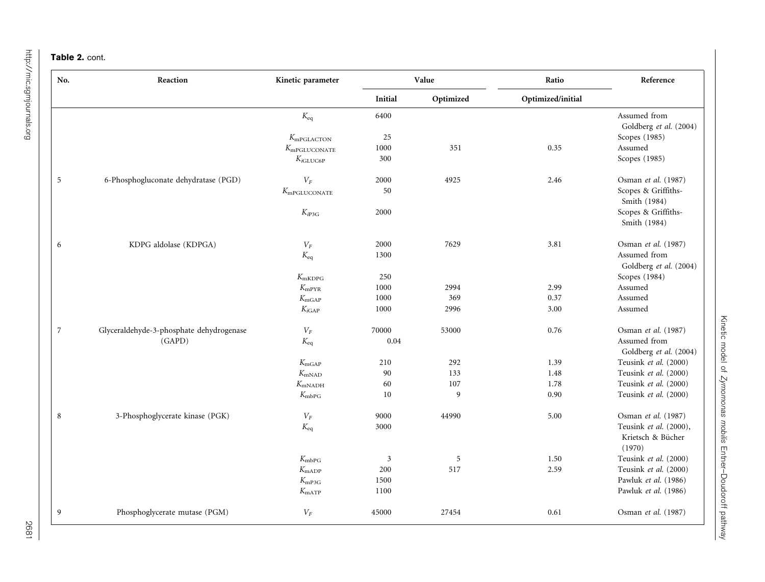### Table 2. cont.

| No.            | Reaction                                 | Value<br>Kinetic parameter |                | Ratio     | Reference         |                        |
|----------------|------------------------------------------|----------------------------|----------------|-----------|-------------------|------------------------|
|                |                                          |                            | Initial        | Optimized | Optimized/initial |                        |
|                |                                          | $K_{eq}$                   | 6400           |           |                   | Assumed from           |
|                |                                          |                            |                |           |                   | Goldberg et al. (2004) |
|                |                                          | $K_{\rm mPGLACTON}$        | 25             |           |                   | Scopes (1985)          |
|                |                                          | $K_{\text{mPGLUCONATE}}$   | 1000           | 351       | 0.35              | Assumed                |
|                |                                          | $K_{i\mathrm{GLUC6P}}$     | 300            |           |                   | Scopes (1985)          |
| $\overline{5}$ | 6-Phosphogluconate dehydratase (PGD)     | ${\cal V}_F$               | 2000           | 4925      | 2.46              | Osman et al. (1987)    |
|                |                                          | $K_{\text{mPGLUCONATE}}$   | 50             |           |                   | Scopes & Griffiths-    |
|                |                                          |                            |                |           |                   | Smith (1984)           |
|                |                                          | $K_{i\text{P3G}}$          | 2000           |           |                   | Scopes & Griffiths-    |
|                |                                          |                            |                |           |                   | Smith (1984)           |
| 6              | KDPG aldolase (KDPGA)                    | ${\cal V}_F$               | 2000           | 7629      | 3.81              | Osman et al. (1987)    |
|                |                                          | $K_{eq}$                   | 1300           |           |                   | Assumed from           |
|                |                                          |                            |                |           |                   | Goldberg et al. (2004) |
|                |                                          | $K_{\rm mKDPG}$            | 250            |           |                   | Scopes (1984)          |
|                |                                          | $K_{\rm mPYR}$             | 1000           | 2994      | 2.99              | Assumed                |
|                |                                          | $K_{\text{mGAP}}$          | 1000           | 369       | 0.37              | Assumed                |
|                |                                          | $K_{i\text{GAP}}$          | 1000           | 2996      | 3.00              | Assumed                |
| 7              | Glyceraldehyde-3-phosphate dehydrogenase | ${\cal V}_F$               | 70000          | 53000     | 0.76              | Osman et al. (1987)    |
|                | (GAPD)                                   | $K_{eq}$                   | 0.04           |           |                   | Assumed from           |
|                |                                          |                            |                |           |                   | Goldberg et al. (2004) |
|                |                                          | $K_{\rm mGAP}$             | 210            | 292       | 1.39              | Teusink et al. (2000)  |
|                |                                          | $K_{\text{mNAD}}$          | 90             | 133       | 1.48              | Teusink et al. (2000)  |
|                |                                          | $K_{\text{mNADH}}$         | 60             | 107       | 1.78              | Teusink et al. (2000)  |
|                |                                          | $K_{\rm mbPG}$             | 10             | 9         | 0.90              | Teusink et al. (2000)  |
| 8              | 3-Phosphoglycerate kinase (PGK)          | ${\cal V}_F$               | 9000           | 44990     | 5.00              | Osman et al. (1987)    |
|                |                                          | $K_{eq}$                   | 3000           |           |                   | Teusink et al. (2000), |
|                |                                          |                            |                |           |                   | Krietsch & Bücher      |
|                |                                          |                            |                |           |                   | (1970)                 |
|                |                                          | $K_{\rm mbPG}$             | $\mathfrak{Z}$ | 5         | 1.50              | Teusink et al. (2000)  |
|                |                                          | $K_{\text{mADP}}$          | 200            | 517       | 2.59              | Teusink et al. (2000)  |
|                |                                          | $K_{\rm mP3G}$             | 1500           |           |                   | Pawluk et al. (1986)   |
|                |                                          | $K_{\text{mATP}}$          | 1100           |           |                   | Pawluk et al. (1986)   |
| 9              | Phosphoglycerate mutase (PGM)            | ${\cal V}_F$               | 45000          | 27454     | 0.61              | Osman et al. (1987)    |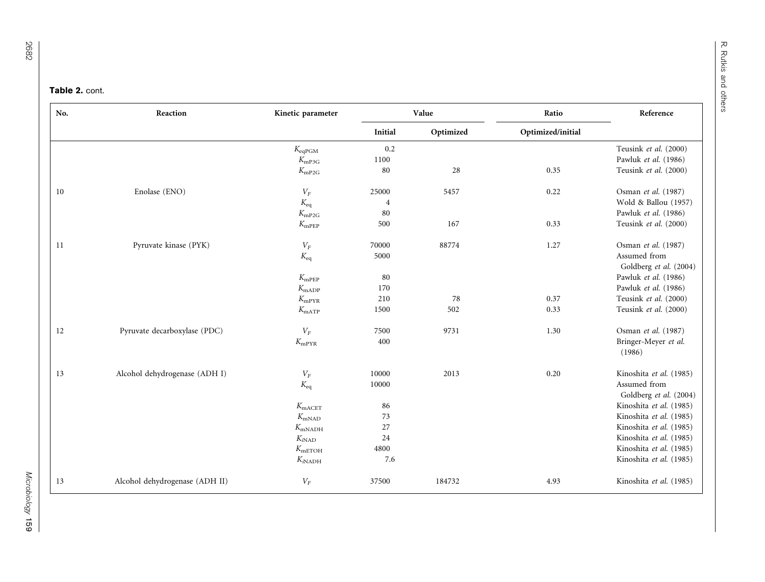#### Table 2. cont.

| No. | Reaction                       | Kinetic parameter                   |                | Value     | Ratio             | Reference                                      |
|-----|--------------------------------|-------------------------------------|----------------|-----------|-------------------|------------------------------------------------|
|     |                                |                                     | Initial        | Optimized | Optimized/initial |                                                |
|     |                                | $K_{eqPGM}$                         | 0.2            |           |                   | Teusink et al. (2000)                          |
|     |                                | $K_{\rm mP3G}$                      | $1100\,$       |           |                   | Pawluk et al. (1986)                           |
|     |                                | $K_{\rm mP2G}$                      | 80             | 28        | 0.35              | Teusink et al. (2000)                          |
| 10  | Enolase (ENO)                  | ${\cal V}_F$                        | 25000          | 5457      | 0.22              | Osman et al. (1987)                            |
|     |                                | $K_{eq}$                            | $\overline{4}$ |           |                   | Wold & Ballou (1957)                           |
|     |                                | $K_{\rm mP2G}$                      | 80             |           |                   | Pawluk et al. (1986)                           |
|     |                                | $K_{\rm mPEP}$                      | 500            | 167       | 0.33              | Teusink et al. (2000)                          |
| 11  | Pyruvate kinase (PYK)          | ${\cal V}_F$                        | 70000          | 88774     | 1.27              | Osman et al. (1987)                            |
|     |                                | $K_{eq}$                            | 5000           |           |                   | Assumed from                                   |
|     |                                |                                     | 80             |           |                   | Goldberg et al. (2004)<br>Pawluk et al. (1986) |
|     |                                | $K_{\rm mPEP}$                      | 170            |           |                   | Pawluk et al. (1986)                           |
|     |                                | $K_{\text{mADP}}$<br>$K_{\rm mPYR}$ | 210            | 78        | 0.37              | Teusink et al. (2000)                          |
|     |                                |                                     | 1500           | 502       | 0.33              | Teusink et al. (2000)                          |
|     |                                | $K_{\text{mATP}}$                   |                |           |                   |                                                |
| 12  | Pyruvate decarboxylase (PDC)   | $V_F$                               | 7500           | 9731      | 1.30              | Osman et al. (1987)                            |
|     |                                | $K_{\rm mPYR}$                      | 400            |           |                   | Bringer-Meyer et al.<br>(1986)                 |
| 13  | Alcohol dehydrogenase (ADH I)  | ${\cal V}_F$                        | 10000          | 2013      | 0.20              | Kinoshita et al. (1985)                        |
|     |                                | $K_{eq}$                            | 10000          |           |                   | Assumed from<br>Goldberg et al. (2004)         |
|     |                                | $K_{\text{mACET}}$                  | 86             |           |                   | Kinoshita et al. (1985)                        |
|     |                                | $K_{\rm mNAD}$                      | 73             |           |                   | Kinoshita et al. (1985)                        |
|     |                                | $K_{\rm mNADH}$                     | 27             |           |                   | Kinoshita et al. (1985)                        |
|     |                                | $K_{iNAD}$                          | 24             |           |                   | Kinoshita et al. (1985)                        |
|     |                                | $K_{\text{mETOH}}$                  | 4800           |           |                   | Kinoshita et al. (1985)                        |
|     |                                | $K_{iNADH}$                         | 7.6            |           |                   | Kinoshita et al. (1985)                        |
| 13  | Alcohol dehydrogenase (ADH II) | ${\cal V}_F$                        | 37500          | 184732    | 4.93              | Kinoshita et al. (1985)                        |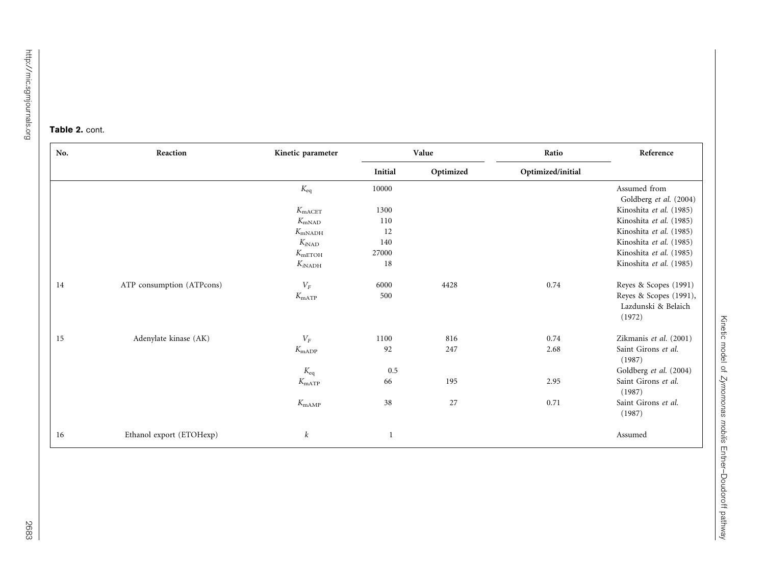#### Table 2. cont.

| No. | Reaction                  | Kinetic parameter  |         | Value     | Ratio             | Reference                                               |
|-----|---------------------------|--------------------|---------|-----------|-------------------|---------------------------------------------------------|
|     |                           |                    | Initial | Optimized | Optimized/initial |                                                         |
|     |                           | $K_{eq}$           | 10000   |           |                   | Assumed from                                            |
|     |                           |                    |         |           |                   | Goldberg et al. (2004)                                  |
|     |                           | $K_{\text{mACET}}$ | 1300    |           |                   | Kinoshita et al. (1985)                                 |
|     |                           | $K_{\rm mNAD}$     | 110     |           |                   | Kinoshita et al. (1985)                                 |
|     |                           | $K_{\text{mNADH}}$ | 12      |           |                   | Kinoshita et al. (1985)                                 |
|     |                           | $K_{iNAD}$         | 140     |           |                   | Kinoshita et al. (1985)                                 |
|     |                           | $K_{\text{mETOH}}$ | 27000   |           |                   | Kinoshita et al. (1985)                                 |
|     |                           | $K_{iNADH}$        | 18      |           |                   | Kinoshita et al. (1985)                                 |
| 14  | ATP consumption (ATPcons) | ${\cal V}_F$       | 6000    | 4428      | 0.74              | Reyes & Scopes (1991)                                   |
|     |                           | $K_{\text{mATP}}$  | 500     |           |                   | Reyes & Scopes (1991),<br>Lazdunski & Belaich<br>(1972) |
| 15  | Adenylate kinase (AK)     | $V_F$              | 1100    | 816       | 0.74              | Zikmanis et al. (2001)                                  |
|     |                           | $K_{\text{mADP}}$  | 92      | 247       | 2.68              | Saint Girons et al.<br>(1987)                           |
|     |                           | $K_{\rm eq}$       | 0.5     |           |                   | Goldberg et al. (2004)                                  |
|     |                           | $K_{\text{mATP}}$  | 66      | 195       | 2.95              | Saint Girons et al.<br>(1987)                           |
|     |                           | $K_{\text{mAMP}}$  | 38      | 27        | 0.71              | Saint Girons et al.<br>(1987)                           |
| 16  | Ethanol export (ETOHexp)  | $\boldsymbol{k}$   |         |           |                   | Assumed                                                 |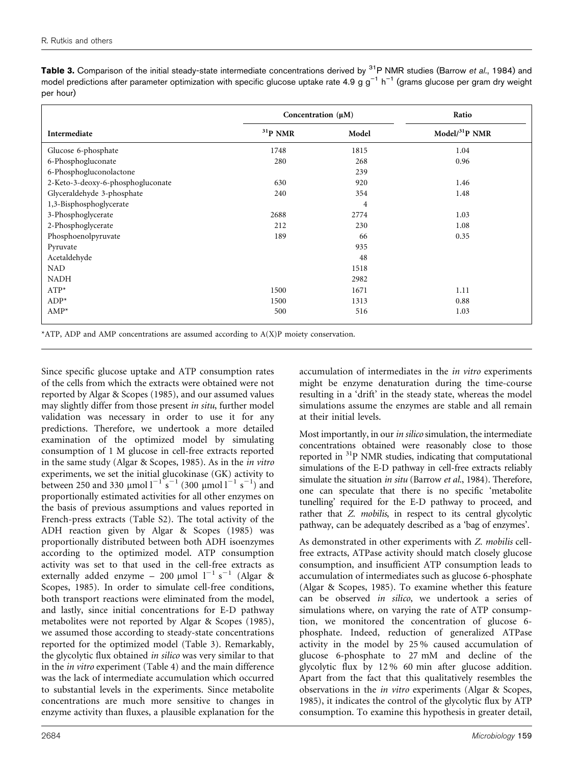<span id="page-10-0"></span>

| Table 3. Comparison of the initial steady-state intermediate concentrations derived by <sup>31</sup> P NMR studies (Barrow et al., 1984) and       |  |
|----------------------------------------------------------------------------------------------------------------------------------------------------|--|
| model predictions after parameter optimization with specific glucose uptake rate 4.9 g $g^{-1}$ h <sup>-1</sup> (grams glucose per gram dry weight |  |
| per hour)                                                                                                                                          |  |

|                                   | Concentration $(\mu M)$ | Ratio |                 |
|-----------------------------------|-------------------------|-------|-----------------|
| Intermediate                      | $31P$ NMR               | Model | $Model/31P$ NMR |
| Glucose 6-phosphate               | 1748                    | 1815  | 1.04            |
| 6-Phosphogluconate                | 280                     | 268   | 0.96            |
| 6-Phosphogluconolactone           |                         | 239   |                 |
| 2-Keto-3-deoxy-6-phosphogluconate | 630                     | 920   | 1.46            |
| Glyceraldehyde 3-phosphate        | 240                     | 354   | 1.48            |
| 1,3-Bisphosphoglycerate           |                         | 4     |                 |
| 3-Phosphoglycerate                | 2688                    | 2774  | 1.03            |
| 2-Phosphoglycerate                | 212                     | 230   | 1.08            |
| Phosphoenolpyruvate               | 189                     | 66    | 0.35            |
| Pyruvate                          |                         | 935   |                 |
| Acetaldehyde                      |                         | 48    |                 |
| <b>NAD</b>                        |                         | 1518  |                 |
| <b>NADH</b>                       |                         | 2982  |                 |
| $ATP*$                            | 1500                    | 1671  | 1.11            |
| $ADP*$                            | 1500                    | 1313  | 0.88            |
| $AMP^*$                           | 500                     | 516   | 1.03            |

\*ATP, ADP and AMP concentrations are assumed according to  $A(X)P$  moiety conservation.

Since specific glucose uptake and ATP consumption rates of the cells from which the extracts were obtained were not reported by [Algar & Scopes \(1985\)](#page-14-0), and our assumed values may slightly differ from those present in situ, further model validation was necessary in order to use it for any predictions. Therefore, we undertook a more detailed examination of the optimized model by simulating consumption of 1 M glucose in cell-free extracts reported in the same study [\(Algar & Scopes, 1985](#page-14-0)). As in the in vitro experiments, we set the initial glucokinase (GK) activity to between 250 and 330 µmol  $l^{-1}$  s<sup>-1</sup> (300 µmol  $l^{-1}$  s<sup>-1</sup>) and proportionally estimated activities for all other enzymes on the basis of previous assumptions and values reported in French-press extracts (Table S2). The total activity of the ADH reaction given by [Algar & Scopes \(1985\)](#page-14-0) was proportionally distributed between both ADH isoenzymes according to the optimized model. ATP consumption activity was set to that used in the cell-free extracts as externally added enzyme - 200 µmol  $1^{-1}$  s<sup>-1</sup> [\(Algar &](#page-14-0) [Scopes, 1985\)](#page-14-0). In order to simulate cell-free conditions, both transport reactions were eliminated from the model, and lastly, since initial concentrations for E-D pathway metabolites were not reported by [Algar & Scopes \(1985\)](#page-14-0), we assumed those according to steady-state concentrations reported for the optimized model (Table 3). Remarkably, the glycolytic flux obtained in silico was very similar to that in the in vitro experiment [\(Table 4](#page-11-0)) and the main difference was the lack of intermediate accumulation which occurred to substantial levels in the experiments. Since metabolite concentrations are much more sensitive to changes in enzyme activity than fluxes, a plausible explanation for the

accumulation of intermediates in the in vitro experiments might be enzyme denaturation during the time-course resulting in a 'drift' in the steady state, whereas the model simulations assume the enzymes are stable and all remain at their initial levels.

Most importantly, in our in silico simulation, the intermediate concentrations obtained were reasonably close to those reported in 31P NMR studies, indicating that computational simulations of the E-D pathway in cell-free extracts reliably simulate the situation in situ [\(Barrow](#page-14-0) et al., 1984). Therefore, one can speculate that there is no specific 'metabolite tunelling' required for the E-D pathway to proceed, and rather that Z. mobilis, in respect to its central glycolytic pathway, can be adequately described as a 'bag of enzymes'.

As demonstrated in other experiments with Z. mobilis cellfree extracts, ATPase activity should match closely glucose consumption, and insufficient ATP consumption leads to accumulation of intermediates such as glucose 6-phosphate [\(Algar & Scopes, 1985\)](#page-14-0). To examine whether this feature can be observed in silico, we undertook a series of simulations where, on varying the rate of ATP consumption, we monitored the concentration of glucose 6 phosphate. Indeed, reduction of generalized ATPase activity in the model by 25 % caused accumulation of glucose 6-phosphate to 27 mM and decline of the glycolytic flux by 12 % 60 min after glucose addition. Apart from the fact that this qualitatively resembles the observations in the in vitro experiments ([Algar & Scopes,](#page-14-0) [1985](#page-14-0)), it indicates the control of the glycolytic flux by ATP consumption. To examine this hypothesis in greater detail,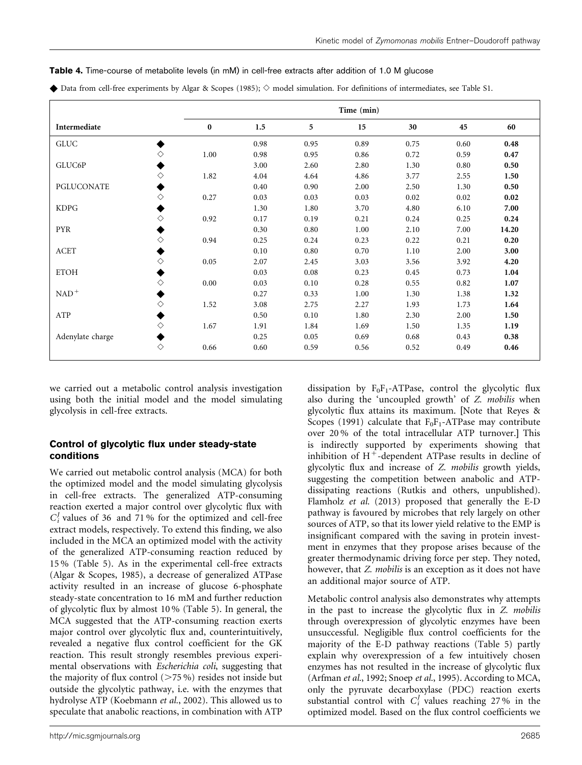|                  |   | Time (min) |      |      |      |      |      |       |  |  |
|------------------|---|------------|------|------|------|------|------|-------|--|--|
| Intermediate     |   | $\bf{0}$   | 1.5  | 5    | 15   | 30   | 45   | 60    |  |  |
| GLUC             |   |            | 0.98 | 0.95 | 0.89 | 0.75 | 0.60 | 0.48  |  |  |
|                  | ♦ | 1.00       | 0.98 | 0.95 | 0.86 | 0.72 | 0.59 | 0.47  |  |  |
| GLUC6P           |   |            | 3.00 | 2.60 | 2.80 | 1.30 | 0.80 | 0.50  |  |  |
|                  | ♦ | 1.82       | 4.04 | 4.64 | 4.86 | 3.77 | 2.55 | 1.50  |  |  |
| PGLUCONATE       |   |            | 0.40 | 0.90 | 2.00 | 2.50 | 1.30 | 0.50  |  |  |
|                  | ♦ | 0.27       | 0.03 | 0.03 | 0.03 | 0.02 | 0.02 | 0.02  |  |  |
| <b>KDPG</b>      |   |            | 1.30 | 1.80 | 3.70 | 4.80 | 6.10 | 7.00  |  |  |
|                  | ♦ | 0.92       | 0.17 | 0.19 | 0.21 | 0.24 | 0.25 | 0.24  |  |  |
| <b>PYR</b>       |   |            | 0.30 | 0.80 | 1.00 | 2.10 | 7.00 | 14.20 |  |  |
|                  | ♦ | 0.94       | 0.25 | 0.24 | 0.23 | 0.22 | 0.21 | 0.20  |  |  |
| ACET             |   |            | 0.10 | 0.80 | 0.70 | 1.10 | 2.00 | 3.00  |  |  |
|                  | ♦ | 0.05       | 2.07 | 2.45 | 3.03 | 3.56 | 3.92 | 4.20  |  |  |
| <b>ETOH</b>      |   |            | 0.03 | 0.08 | 0.23 | 0.45 | 0.73 | 1.04  |  |  |
|                  | ♦ | 0.00       | 0.03 | 0.10 | 0.28 | 0.55 | 0.82 | 1.07  |  |  |
| $NAD+$           |   |            | 0.27 | 0.33 | 1.00 | 1.30 | 1.38 | 1.32  |  |  |
|                  | ♦ | 1.52       | 3.08 | 2.75 | 2.27 | 1.93 | 1.73 | 1.64  |  |  |
| ATP              |   |            | 0.50 | 0.10 | 1.80 | 2.30 | 2.00 | 1.50  |  |  |
|                  | ♦ | 1.67       | 1.91 | 1.84 | 1.69 | 1.50 | 1.35 | 1.19  |  |  |
| Adenylate charge |   |            | 0.25 | 0.05 | 0.69 | 0.68 | 0.43 | 0.38  |  |  |
|                  | ◇ | 0.66       | 0.60 | 0.59 | 0.56 | 0.52 | 0.49 | 0.46  |  |  |

<span id="page-11-0"></span>

|  |  | Table 4. Time-course of metabolite levels (in mM) in cell-free extracts after addition of 1.0 M glucose |  |  |  |  |  |  |  |  |  |
|--|--|---------------------------------------------------------------------------------------------------------|--|--|--|--|--|--|--|--|--|
|--|--|---------------------------------------------------------------------------------------------------------|--|--|--|--|--|--|--|--|--|

 $\blacklozenge$  Data from cell-free experiments by [Algar & Scopes \(1985\)](#page-14-0);  $\diamond$  model simulation. For definitions of intermediates, see Table S1.

we carried out a metabolic control analysis investigation using both the initial model and the model simulating glycolysis in cell-free extracts.

## Control of glycolytic flux under steady-state conditions

We carried out metabolic control analysis (MCA) for both the optimized model and the model simulating glycolysis in cell-free extracts. The generalized ATP-consuming reaction exerted a major control over glycolytic flux with  $C_i^J$  values of 36 and 71% for the optimized and cell-free extract models, respectively. To extend this finding, we also included in the MCA an optimized model with the activity of the generalized ATP-consuming reaction reduced by 15 % ([Table 5](#page-12-0)). As in the experimental cell-free extracts ([Algar & Scopes, 1985\)](#page-14-0), a decrease of generalized ATPase activity resulted in an increase of glucose 6-phosphate steady-state concentration to 16 mM and further reduction of glycolytic flux by almost 10 % ([Table 5\)](#page-12-0). In general, the MCA suggested that the ATP-consuming reaction exerts major control over glycolytic flux and, counterintuitively, revealed a negative flux control coefficient for the GK reaction. This result strongly resembles previous experimental observations with Escherichia coli, suggesting that the majority of flux control  $(>= 75\%)$  resides not inside but outside the glycolytic pathway, i.e. with the enzymes that hydrolyse ATP [\(Koebmann](#page-14-0) et al., 2002). This allowed us to speculate that anabolic reactions, in combination with ATP

also during the 'uncoupled growth' of Z. mobilis when glycolytic flux attains its maximum. [Note that [Reyes &](#page-15-0) [Scopes \(1991\)](#page-15-0) calculate that  $F_0F_1$ -ATPase may contribute over 20 % of the total intracellular ATP turnover.] This is indirectly supported by experiments showing that inhibition of  $H^+$ -dependent ATPase results in decline of glycolytic flux and increase of Z. mobilis growth yields, suggesting the competition between anabolic and ATPdissipating reactions (Rutkis and others, unpublished). [Flamholz](#page-14-0) et al. (2013) proposed that generally the E-D pathway is favoured by microbes that rely largely on other sources of ATP, so that its lower yield relative to the EMP is insignificant compared with the saving in protein investment in enzymes that they propose arises because of the greater thermodynamic driving force per step. They noted, however, that Z. mobilis is an exception as it does not have an additional major source of ATP.

dissipation by  $F_0F_1$ -ATPase, control the glycolytic flux

Metabolic control analysis also demonstrates why attempts in the past to increase the glycolytic flux in Z. mobilis through overexpression of glycolytic enzymes have been unsuccessful. Negligible flux control coefficients for the majority of the E-D pathway reactions [\(Table 5\)](#page-12-0) partly explain why overexpression of a few intuitively chosen enzymes has not resulted in the increase of glycolytic flux ([Arfman](#page-14-0) et al., 1992; [Snoep](#page-15-0) et al., 1995). According to MCA, only the pyruvate decarboxylase (PDC) reaction exerts substantial control with  $C_i^J$  values reaching 27% in the optimized model. Based on the flux control coefficients we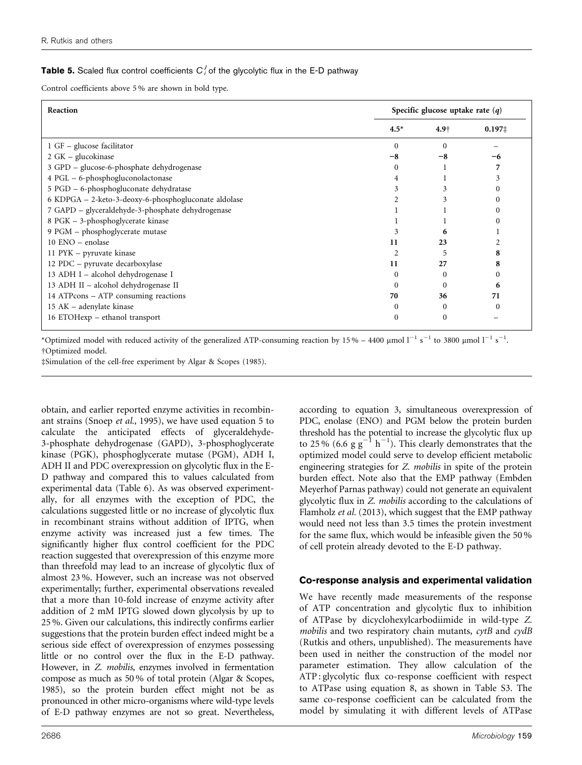## <span id="page-12-0"></span>**Table 5.** Scaled flux control coefficients  $C_i^J$  of the glycolytic flux in the E-D pathway

Control coefficients above 5 % are shown in bold type.

| <b>Reaction</b>                                      | Specific glucose uptake rate $(q)$ |                  |                  |  |  |
|------------------------------------------------------|------------------------------------|------------------|------------------|--|--|
|                                                      | $4.5*$                             | 4.9 <sub>†</sub> | $0.197 \ddagger$ |  |  |
| $1$ GF – glucose facilitator                         | $\Omega$                           |                  |                  |  |  |
| 2 GK – glucokinase                                   |                                    | -8               |                  |  |  |
| 3 GPD - glucose-6-phosphate dehydrogenase            |                                    |                  |                  |  |  |
| 4 PGL - 6-phosphogluconolactonase                    |                                    |                  |                  |  |  |
| 5 PGD – 6-phosphogluconate dehydratase               |                                    |                  |                  |  |  |
| 6 KDPGA – 2-keto-3-deoxy-6-phosphogluconate aldolase |                                    |                  |                  |  |  |
| 7 GAPD - glyceraldehyde-3-phosphate dehydrogenase    |                                    |                  |                  |  |  |
| 8 PGK - 3-phosphoglycerate kinase                    |                                    |                  |                  |  |  |
| 9 PGM - phosphoglycerate mutase                      |                                    | 6                |                  |  |  |
| 10 ENO – enolase                                     | 11                                 | 23               |                  |  |  |
| 11 PYK – pyruvate kinase                             |                                    | 5                |                  |  |  |
| 12 PDC – pyruvate decarboxylase                      | 11                                 | 27               |                  |  |  |
| 13 ADH I - alcohol dehydrogenase I                   | $\theta$                           |                  |                  |  |  |
| 13 ADH II - alcohol dehydrogenase II                 |                                    |                  | h                |  |  |
| 14 ATPcons - ATP consuming reactions                 | 70                                 | 36               | 71               |  |  |
| 15 AK – adenylate kinase                             | 0                                  | 0                | $\theta$         |  |  |
| 16 ETOHexp - ethanol transport                       | $\Omega$                           | 0                |                  |  |  |

\*Optimized model with reduced activity of the generalized ATP-consuming reaction by 15% – 4400 µmol  $1^{-1}$  s<sup>-1</sup> to 3800 µmol  $1^{-1}$  s<sup>-1</sup>. DOptimized model.

‡Simulation of the cell-free experiment by [Algar & Scopes \(1985\).](#page-14-0)

obtain, and earlier reported enzyme activities in recombinant strains (Snoep et al.[, 1995\)](#page-15-0), we have used equation 5 to calculate the anticipated effects of glyceraldehyde-3-phosphate dehydrogenase (GAPD), 3-phosphoglycerate kinase (PGK), phosphoglycerate mutase (PGM), ADH I, ADH II and PDC overexpression on glycolytic flux in the E-D pathway and compared this to values calculated from experimental data ([Table 6](#page-13-0)). As was observed experimentally, for all enzymes with the exception of PDC, the calculations suggested little or no increase of glycolytic flux in recombinant strains without addition of IPTG, when enzyme activity was increased just a few times. The significantly higher flux control coefficient for the PDC reaction suggested that overexpression of this enzyme more than threefold may lead to an increase of glycolytic flux of almost 23 %. However, such an increase was not observed experimentally; further, experimental observations revealed that a more than 10-fold increase of enzyme activity after addition of 2 mM IPTG slowed down glycolysis by up to 25 %. Given our calculations, this indirectly confirms earlier suggestions that the protein burden effect indeed might be a serious side effect of overexpression of enzymes possessing little or no control over the flux in the E-D pathway. However, in Z. mobilis, enzymes involved in fermentation compose as much as 50 % of total protein ([Algar & Scopes,](#page-14-0) [1985\)](#page-14-0), so the protein burden effect might not be as pronounced in other micro-organisms where wild-type levels of E-D pathway enzymes are not so great. Nevertheless,

according to equation 3, simultaneous overexpression of PDC, enolase (ENO) and PGM below the protein burden threshold has the potential to increase the glycolytic flux up to 25% (6.6 g  $g^{-1}$  h<sup>-1</sup>). This clearly demonstrates that the optimized model could serve to develop efficient metabolic engineering strategies for Z. mobilis in spite of the protein burden effect. Note also that the EMP pathway (Embden Meyerhof Parnas pathway) could not generate an equivalent glycolytic flux in Z. mobilis according to the calculations of [Flamholz](#page-14-0) et al. (2013), which suggest that the EMP pathway would need not less than 3.5 times the protein investment for the same flux, which would be infeasible given the 50 % of cell protein already devoted to the E-D pathway.

#### Co-response analysis and experimental validation

We have recently made measurements of the response of ATP concentration and glycolytic flux to inhibition of ATPase by dicyclohexylcarbodiimide in wild-type Z. mobilis and two respiratory chain mutants, cytB and cydB (Rutkis and others, unpublished). The measurements have been used in neither the construction of the model nor parameter estimation. They allow calculation of the ATP : glycolytic flux co-response coefficient with respect to ATPase using equation 8, as shown in Table S3. The same co-response coefficient can be calculated from the model by simulating it with different levels of ATPase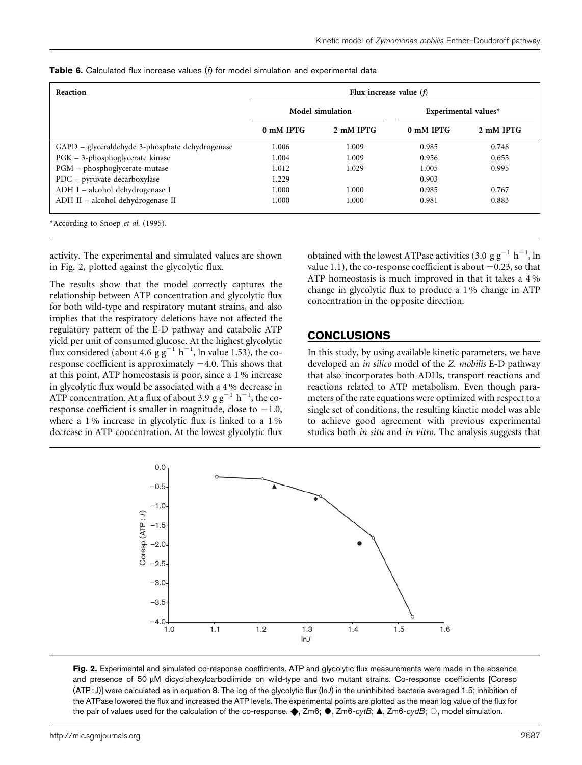| Reaction                                        | Flux increase value $(f)$ |                         |                      |           |  |  |  |
|-------------------------------------------------|---------------------------|-------------------------|----------------------|-----------|--|--|--|
|                                                 |                           | <b>Model simulation</b> | Experimental values* |           |  |  |  |
|                                                 | 0 mM IPTG                 | 2 mM IPTG               | 0 mM IPTG            | 2 mM IPTG |  |  |  |
| GAPD – glyceraldehyde 3-phosphate dehydrogenase | 1.006                     | 1.009                   | 0.985                | 0.748     |  |  |  |
| PGK - 3-phosphoglycerate kinase                 | 1.004                     | 1.009                   | 0.956                | 0.655     |  |  |  |
| PGM - phosphoglycerate mutase                   | 1.012                     | 1.029                   | 1.005                | 0.995     |  |  |  |
| PDC - pyruvate decarboxylase                    | 1.229                     |                         | 0.903                |           |  |  |  |
| ADH I - alcohol dehydrogenase I                 | 1.000                     | 1.000                   | 0.985                | 0.767     |  |  |  |
| ADH II - alcohol dehydrogenase II               | 1.000                     | 1.000                   | 0.981                | 0.883     |  |  |  |

<span id="page-13-0"></span>**Table 6.** Calculated flux increase values ( $\hat{h}$  for model simulation and experimental data

\*According to Snoep et al. [\(1995\).](#page-15-0)

activity. The experimental and simulated values are shown in Fig. 2, plotted against the glycolytic flux.

The results show that the model correctly captures the relationship between ATP concentration and glycolytic flux for both wild-type and respiratory mutant strains, and also implies that the respiratory deletions have not affected the regulatory pattern of the E-D pathway and catabolic ATP yield per unit of consumed glucose. At the highest glycolytic flux considered (about 4.6  $\frac{g}{g}g^{-1}$  h<sup>-1</sup>, ln value 1.53), the coresponse coefficient is approximately  $-4.0$ . This shows that at this point, ATP homeostasis is poor, since a 1 % increase in glycolytic flux would be associated with a 4 % decrease in ATP concentration. At a flux of about 3.9  $\text{g g}^{-1} \text{ h}^{-1}$ , the coresponse coefficient is smaller in magnitude, close to  $-1.0$ , where a 1% increase in glycolytic flux is linked to a 1% decrease in ATP concentration. At the lowest glycolytic flux

obtained with the lowest ATPase activities (3.0  $\text{g g}^{-1} \text{ h}^{-1}$ , ln value 1.1), the co-response coefficient is about  $-0.23$ , so that ATP homeostasis is much improved in that it takes a 4 % change in glycolytic flux to produce a 1 % change in ATP concentration in the opposite direction.

## CONCLUSIONS

In this study, by using available kinetic parameters, we have developed an in silico model of the Z. mobilis E-D pathway that also incorporates both ADHs, transport reactions and reactions related to ATP metabolism. Even though parameters of the rate equations were optimized with respect to a single set of conditions, the resulting kinetic model was able to achieve good agreement with previous experimental studies both *in situ* and *in vitro*. The analysis suggests that



Fig. 2. Experimental and simulated co-response coefficients. ATP and glycolytic flux measurements were made in the absence and presence of 50 µM dicyclohexylcarbodiimide on wild-type and two mutant strains. Co-response coefficients [Coresp  $(ATP:J)$ ] were calculated as in equation 8. The log of the glycolytic flux  $(lnJ)$  in the uninhibited bacteria averaged 1.5; inhibition of the ATPase lowered the flux and increased the ATP levels. The experimental points are plotted as the mean log value of the flux for the pair of values used for the calculation of the co-response.  $\blacklozenge$ , Zm6;  $\blacklozenge$ , Zm6-cytB;  $\blacktriangle$ , Zm6-cydB;  $\bigcirc$ , model simulation.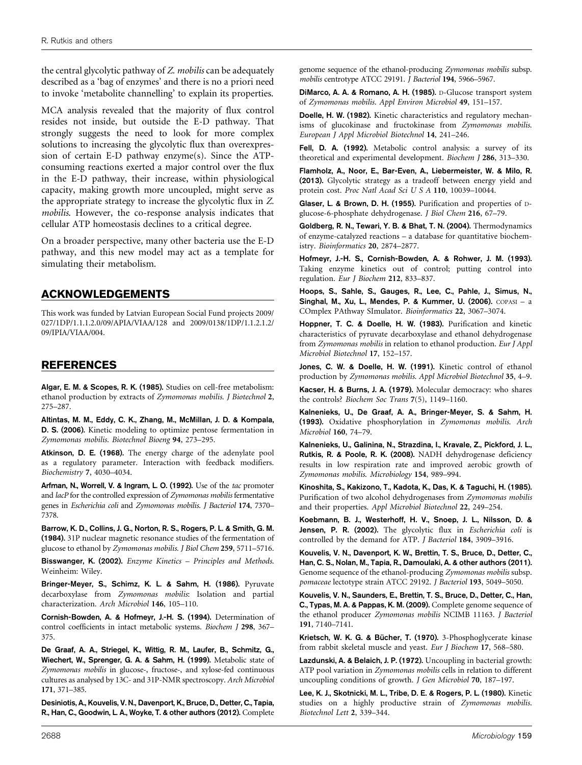<span id="page-14-0"></span>the central glycolytic pathway of Z. mobilis can be adequately described as a 'bag of enzymes' and there is no a priori need to invoke 'metabolite channelling' to explain its properties.

MCA analysis revealed that the majority of flux control resides not inside, but outside the E-D pathway. That strongly suggests the need to look for more complex solutions to increasing the glycolytic flux than overexpression of certain E-D pathway enzyme(s). Since the ATPconsuming reactions exerted a major control over the flux in the E-D pathway, their increase, within physiological capacity, making growth more uncoupled, might serve as the appropriate strategy to increase the glycolytic flux in Z. mobilis. However, the co-response analysis indicates that cellular ATP homeostasis declines to a critical degree.

On a broader perspective, many other bacteria use the E-D pathway, and this new model may act as a template for simulating their metabolism.

## ACKNOWLEDGEMENTS

This work was funded by Latvian European Social Fund projects 2009/ 027/1DP/1.1.1.2.0/09/APIA/VIAA/128 and 2009/0138/1DP/1.1.2.1.2/ 09/IPIA/VIAA/004.

## REFERENCES

Algar, E. M. & Scopes, R. K. (1985). Studies on cell-free metabolism: ethanol production by extracts of Zymomonas mobilis. J Biotechnol 2, 275–287.

Altintas, M. M., Eddy, C. K., Zhang, M., McMillan, J. D. & Kompala, D. S. (2006). Kinetic modeling to optimize pentose fermentation in Zymomonas mobilis. Biotechnol Bioeng 94, 273–295.

Atkinson, D. E. (1968). The energy charge of the adenylate pool as a regulatory parameter. Interaction with feedback modifiers. Biochemistry 7, 4030–4034.

Arfman, N., Worrell, V. & Ingram, L. O. (1992). Use of the tac promoter and lacP for the controlled expression of Zymomonas mobilis fermentative genes in Escherichia coli and Zymomonas mobilis. J Bacteriol 174, 7370– 7378.

Barrow, K. D., Collins, J. G., Norton, R. S., Rogers, P. L. & Smith, G. M. (1984). 31P nuclear magnetic resonance studies of the fermentation of glucose to ethanol by Zymomonas mobilis. J Biol Chem 259, 5711–5716.

Bisswanger, K. (2002). Enzyme Kinetics - Principles and Methods. Weinheim: Wiley.

Bringer-Meyer, S., Schimz, K. L. & Sahm, H. (1986). Pyruvate decarboxylase from Zymomonas mobilis: Isolation and partial characterization. Arch Microbiol 146, 105–110.

Cornish-Bowden, A. & Hofmeyr, J.-H. S. (1994). Determination of control coefficients in intact metabolic systems. Biochem J 298, 367– 375.

De Graaf, A. A., Striegel, K., Wittig, R. M., Laufer, B., Schmitz, G., Wiechert, W., Sprenger, G. A. & Sahm, H. (1999). Metabolic state of Zymomonas mobilis in glucose-, fructose-, and xylose-fed continuous cultures as analysed by 13C- and 31P-NMR spectroscopy. Arch Microbiol 171, 371–385.

Desiniotis, A., Kouvelis, V. N., Davenport, K., Bruce, D., Detter, C., Tapia, R., Han, C., Goodwin, L. A., Woyke, T. & other authors (2012). Complete genome sequence of the ethanol-producing Zymomonas mobilis subsp. mobilis centrotype ATCC 29191. J Bacteriol 194, 5966–5967.

DiMarco, A. A. & Romano, A. H. (1985). D-Glucose transport system of Zymomonas mobilis. Appl Environ Microbiol 49, 151–157.

Doelle, H. W. (1982). Kinetic characteristics and regulatory mechanisms of glucokinase and fructokinase from Zymomonas mobilis. European J Appl Microbiol Biotechnol 14, 241–246.

Fell, D. A. (1992). Metabolic control analysis: a survey of its theoretical and experimental development. Biochem J 286, 313–330.

Flamholz, A., Noor, E., Bar-Even, A., Liebermeister, W. & Milo, R. (2013). Glycolytic strategy as a tradeoff between energy yield and protein cost. Proc Natl Acad Sci U S A 110, 10039–10044.

Glaser, L. & Brown, D. H. (1955). Purification and properties of Dglucose-6-phosphate dehydrogenase. J Biol Chem 216, 67–79.

Goldberg, R. N., Tewari, Y. B. & Bhat, T. N. (2004). Thermodynamics of enzyme-catalyzed reactions – a database for quantitative biochemistry. Bioinformatics 20, 2874–2877.

Hofmeyr, J.-H. S., Cornish-Bowden, A. & Rohwer, J. M. (1993). Taking enzyme kinetics out of control; putting control into regulation. Eur J Biochem 212, 833–837.

Hoops, S., Sahle, S., Gauges, R., Lee, C., Pahle, J., Simus, N., Singhal, M., Xu, L., Mendes, P. & Kummer, U. (2006). COPASI - a COmplex PAthway SImulator. Bioinformatics 22, 3067–3074.

Hoppner, T. C. & Doelle, H. W. (1983). Purification and kinetic characteristics of pyruvate decarboxylase and ethanol dehydrogenase from Zymomonas mobilis in relation to ethanol production. Eur J Appl Microbiol Biotechnol 17, 152–157.

Jones, C. W. & Doelle, H. W. (1991). Kinetic control of ethanol production by Zymomonas mobilis. Appl Microbiol Biotechnol 35, 4–9.

Kacser, H. & Burns, J. A. (1979). Molecular democracy: who shares the controls? Biochem Soc Trans 7(5), 1149–1160.

Kalnenieks, U., De Graaf, A. A., Bringer-Meyer, S. & Sahm, H. (1993). Oxidative phosphorylation in Zymomonas mobilis. Arch Microbiol 160, 74–79.

Kalnenieks, U., Galinina, N., Strazdina, I., Kravale, Z., Pickford, J. L., Rutkis, R. & Poole, R. K. (2008). NADH dehydrogenase deficiency results in low respiration rate and improved aerobic growth of Zymomonas mobilis. Microbiology 154, 989–994.

Kinoshita, S., Kakizono, T., Kadota, K., Das, K. & Taguchi, H. (1985). Purification of two alcohol dehydrogenases from Zymomonas mobilis and their properties. Appl Microbiol Biotechnol 22, 249–254.

Koebmann, B. J., Westerhoff, H. V., Snoep, J. L., Nilsson, D. & Jensen, P. R. (2002). The glycolytic flux in Escherichia coli is controlled by the demand for ATP. J Bacteriol 184, 3909–3916.

Kouvelis, V. N., Davenport, K. W., Brettin, T. S., Bruce, D., Detter, C., Han, C. S., Nolan, M., Tapia, R., Damoulaki, A. & other authors (2011). Genome sequence of the ethanol-producing Zymomonas mobilis subsp. pomaceae lectotype strain ATCC 29192. J Bacteriol 193, 5049–5050.

Kouvelis, V. N., Saunders, E., Brettin, T. S., Bruce, D., Detter, C., Han, C., Typas, M. A. & Pappas, K. M. (2009). Complete genome sequence of the ethanol producer Zymomonas mobilis NCIMB 11163. J Bacteriol 191, 7140–7141.

Krietsch, W. K. G. & Bücher, T. (1970). 3-Phosphoglycerate kinase from rabbit skeletal muscle and yeast. Eur J Biochem 17, 568–580.

Lazdunski, A. & Belaich, J. P. (1972). Uncoupling in bacterial growth: ATP pool variation in Zymomonas mobilis cells in relation to different uncoupling conditions of growth. J Gen Microbiol 70, 187–197.

Lee, K. J., Skotnicki, M. L., Tribe, D. E. & Rogers, P. L. (1980). Kinetic studies on a highly productive strain of Zymomonas mobilis. Biotechnol Lett 2, 339–344.